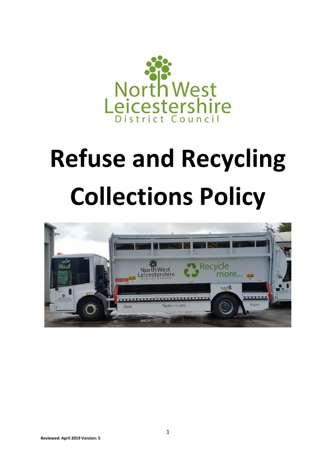

# **Refuse and Recycling Collections Policy**

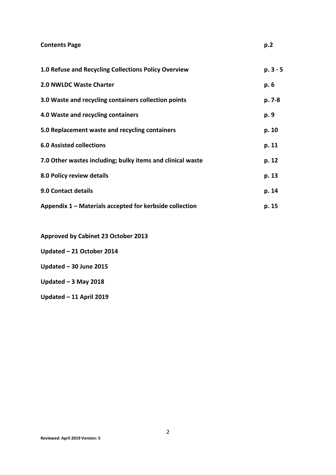| <b>Contents Page</b>                                       | p.2      |
|------------------------------------------------------------|----------|
| 1.0 Refuse and Recycling Collections Policy Overview       | p. 3 - 5 |
| 2.0 NWLDC Waste Charter                                    | p. 6     |
| 3.0 Waste and recycling containers collection points       | p. 7-8   |
| 4.0 Waste and recycling containers                         | p. 9     |
| 5.0 Replacement waste and recycling containers             | p. 10    |
| <b>6.0 Assisted collections</b>                            | p. 11    |
| 7.0 Other wastes including; bulky items and clinical waste | p. 12    |
| 8.0 Policy review details                                  | p. 13    |
| 9.0 Contact details                                        | p. 14    |
| Appendix 1 – Materials accepted for kerbside collection    | p. 15    |

**Approved by Cabinet 23 October 2013**

**Updated – 21 October 2014**

**Updated – 30 June 2015**

**Updated – 3 May 2018**

**Updated – 11 April 2019**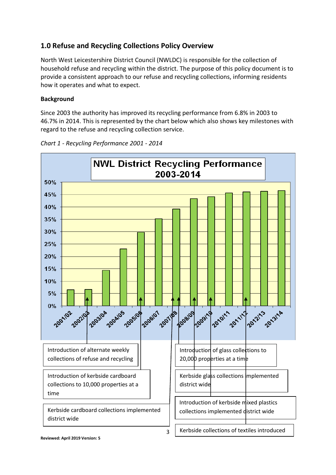# **1.0 Refuse and Recycling Collections Policy Overview**

North West Leicestershire District Council (NWLDC) is responsible for the collection of household refuse and recycling within the district. The purpose of this policy document is to provide a consistent approach to our refuse and recycling collections, informing residents how it operates and what to expect.

#### **Background**

Since 2003 the authority has improved its recycling performance from 6.8% in 2003 to 46.7% in 2014. This is represented by the chart below which also shows key milestones with regard to the refuse and recycling collection service.



*Chart 1 - Recycling Performance 2001 - 2014*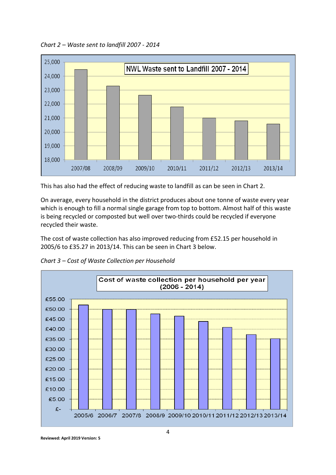*Chart 2 – Waste sent to landfill 2007 - 2014*



This has also had the effect of reducing waste to landfill as can be seen in Chart 2.

On average, every household in the district produces about one tonne of waste every year which is enough to fill a normal single garage from top to bottom. Almost half of this waste is being recycled or composted but well over two-thirds could be recycled if everyone recycled their waste.

The cost of waste collection has also improved reducing from £52.15 per household in 2005/6 to £35.27 in 2013/14. This can be seen in Chart 3 below.

*Chart 3 – Cost of Waste Collection per Household*



**Reviewed: April 2019 Version: 5**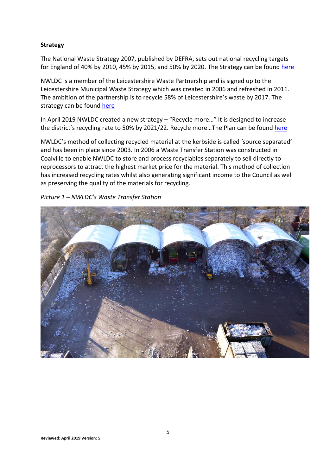#### **Strategy**

The National Waste Strategy 2007, published by DEFRA, sets out national recycling targets for England of 40% by 2010, 45% by 2015, and 50% by 2020. The Strategy can be found [here](https://assets.publishing.service.gov.uk/government/uploads/system/uploads/attachment_data/file/228536/7086.pdf)

NWLDC is a member of the Leicestershire Waste Partnership and is signed up to the Leicestershire Municipal Waste Strategy which was created in 2006 and refreshed in 2011. The ambition of the partnership is to recycle 58% of Leicestershire's waste by 2017. The strategy can be found [here](https://minutes-1.nwleics.gov.uk/Data/Cabinet/201205221700/Agenda/Appendix%201%20-%20att5288.pdf)

In April 2019 NWLDC created a new strategy – "Recycle more…" It is designed to increase the district's recycling rate to 50% by 2021/22. Recycle more... The Plan can be found [here](https://www.nwleics.gov.uk/files/documents/recycle_more_the_plan/Recycle%20more...%20The%20plan.pdf)

NWLDC's method of collecting recycled material at the kerbside is called 'source separated' and has been in place since 2003. In 2006 a Waste Transfer Station was constructed in Coalville to enable NWLDC to store and process recyclables separately to sell directly to reprocessors to attract the highest market price for the material. This method of collection has increased recycling rates whilst also generating significant income to the Council as well as preserving the quality of the materials for recycling.

*Picture 1 – NWLDC's Waste Transfer Station*

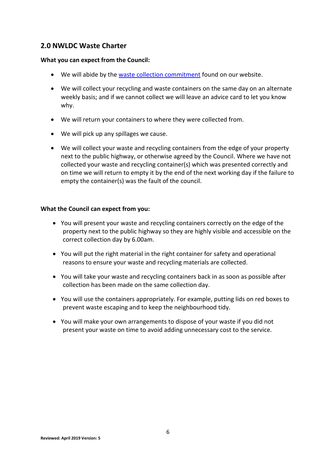## **2.0 NWLDC Waste Charter**

#### **What you can expect from the Council:**

- We will abide by the [waste collection commitment](http://www.nwleics.gov.uk/files/images/waste_collection_commitment_signed/Waste%20Coll%20Commitment%20-%20Scan29%2001%202010.jpg) found on our website.
- We will collect your recycling and waste containers on the same day on an alternate weekly basis; and if we cannot collect we will leave an advice card to let you know why.
- We will return your containers to where they were collected from.
- We will pick up any spillages we cause.
- We will collect your waste and recycling containers from the edge of your property next to the public highway, or otherwise agreed by the Council. Where we have not collected your waste and recycling container(s) which was presented correctly and on time we will return to empty it by the end of the next working day if the failure to empty the container(s) was the fault of the council.

#### **What the Council can expect from you:**

- You will present your waste and recycling containers correctly on the edge of the property next to the public highway so they are highly visible and accessible on the correct collection day by 6.00am.
- You will put the right material in the right container for safety and operational reasons to ensure your waste and recycling materials are collected.
- You will take your waste and recycling containers back in as soon as possible after collection has been made on the same collection day.
- You will use the containers appropriately. For example, putting lids on red boxes to prevent waste escaping and to keep the neighbourhood tidy.
- You will make your own arrangements to dispose of your waste if you did not present your waste on time to avoid adding unnecessary cost to the service.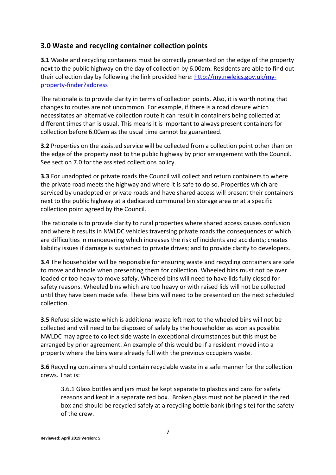# **3.0 Waste and recycling container collection points**

**3.1** Waste and recycling containers must be correctly presented on the edge of the property next to the public highway on the day of collection by 6.00am. Residents are able to find out their collection day by following the link provided here: [http://my.nwleics.gov.uk/my](http://my.nwleics.gov.uk/my-property-finder?address)[property-finder?address](http://my.nwleics.gov.uk/my-property-finder?address)

The rationale is to provide clarity in terms of collection points. Also, it is worth noting that changes to routes are not uncommon. For example, if there is a road closure which necessitates an alternative collection route it can result in containers being collected at different times than is usual. This means it is important to always present containers for collection before 6.00am as the usual time cannot be guaranteed.

**3.2** Properties on the assisted service will be collected from a collection point other than on the edge of the property next to the public highway by prior arrangement with the Council. See section 7.0 for the assisted collections policy.

**3.3** For unadopted or private roads the Council will collect and return containers to where the private road meets the highway and where it is safe to do so. Properties which are serviced by unadopted or private roads and have shared access will present their containers next to the public highway at a dedicated communal bin storage area or at a specific collection point agreed by the Council.

The rationale is to provide clarity to rural properties where shared access causes confusion and where it results in NWLDC vehicles traversing private roads the consequences of which are difficulties in manoeuvring which increases the risk of incidents and accidents; creates liability issues if damage is sustained to private drives; and to provide clarity to developers.

**3.4** The householder will be responsible for ensuring waste and recycling containers are safe to move and handle when presenting them for collection. Wheeled bins must not be over loaded or too heavy to move safely. Wheeled bins will need to have lids fully closed for safety reasons. Wheeled bins which are too heavy or with raised lids will not be collected until they have been made safe. These bins will need to be presented on the next scheduled collection.

**3.5** Refuse side waste which is additional waste left next to the wheeled bins will not be collected and will need to be disposed of safely by the householder as soon as possible. NWLDC may agree to collect side waste in exceptional circumstances but this must be arranged by prior agreement. An example of this would be if a resident moved into a property where the bins were already full with the previous occupiers waste.

**3.6** Recycling containers should contain recyclable waste in a safe manner for the collection crews. That is:

3.6.1 Glass bottles and jars must be kept separate to plastics and cans for safety reasons and kept in a separate red box. Broken glass must not be placed in the red box and should be recycled safely at a recycling bottle bank (bring site) for the safety of the crew.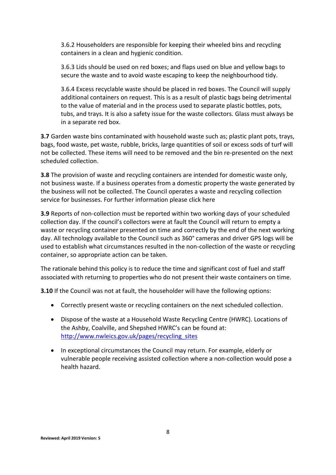3.6.2 Householders are responsible for keeping their wheeled bins and recycling containers in a clean and hygienic condition.

3.6.3 Lids should be used on red boxes; and flaps used on blue and yellow bags to secure the waste and to avoid waste escaping to keep the neighbourhood tidy.

3.6.4 Excess recyclable waste should be placed in red boxes. The Council will supply additional containers on request. This is as a result of plastic bags being detrimental to the value of material and in the process used to separate plastic bottles, pots, tubs, and trays. It is also a safety issue for the waste collectors. Glass must always be in a separate red box.

**3.7** Garden waste bins contaminated with household waste such as; plastic plant pots, trays, bags, food waste, pet waste, rubble, bricks, large quantities of soil or excess sods of turf will not be collected. These items will need to be removed and the bin re-presented on the next scheduled collection.

**3.8** The provision of waste and recycling containers are intended for domestic waste only, not business waste. If a business operates from a domestic property the waste generated by the business will not be collected. The Council operates a waste and recycling collection service for businesses. For further information please click here

**3.9** Reports of non-collection must be reported within two working days of your scheduled collection day. If the council's collectors were at fault the Council will return to empty a waste or recycling container presented on time and correctly by the end of the next working day. All technology available to the Council such as 360° cameras and driver GPS logs will be used to establish what circumstances resulted in the non-collection of the waste or recycling container, so appropriate action can be taken.

The rationale behind this policy is to reduce the time and significant cost of fuel and staff associated with returning to properties who do not present their waste containers on time.

**3.10** If the Council was not at fault, the householder will have the following options:

- Correctly present waste or recycling containers on the next scheduled collection.
- Dispose of the waste at a Household Waste Recycling Centre (HWRC). Locations of the Ashby, Coalville, and Shepshed HWRC's can be found at: [http://www.nwleics.gov.uk/pages/recycling\\_sites](http://www.nwleics.gov.uk/pages/recycling_sites)
- In exceptional circumstances the Council may return. For example, elderly or vulnerable people receiving assisted collection where a non-collection would pose a health hazard.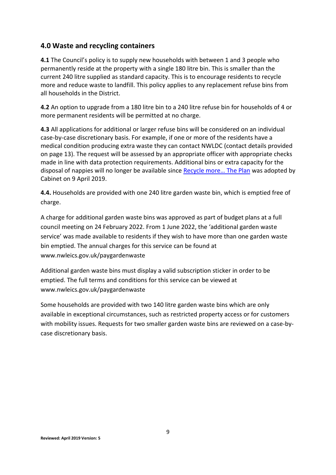#### **4.0 Waste and recycling containers**

**4.1** The Council's policy is to supply new households with between 1 and 3 people who permanently reside at the property with a single 180 litre bin. This is smaller than the current 240 litre supplied as standard capacity. This is to encourage residents to recycle more and reduce waste to landfill. This policy applies to any replacement refuse bins from all households in the District.

**4.2** An option to upgrade from a 180 litre bin to a 240 litre refuse bin for households of 4 or more permanent residents will be permitted at no charge.

**4.3** All applications for additional or larger refuse bins will be considered on an individual case-by-case discretionary basis. For example, if one or more of the residents have a medical condition producing extra waste they can contact NWLDC (contact details provided on page 13). The request will be assessed by an appropriate officer with appropriate checks made in line with data protection requirements. Additional bins or extra capacity for the disposal of nappies will no longer be available since Recycle more... The Plan was adopted by Cabinet on 9 April 2019.

**4.4.** Households are provided with one 240 litre garden waste bin, which is emptied free of charge.

A charge for additional garden waste bins was approved as part of budget plans at a full council meeting on 24 February 2022. From 1 June 2022, the 'additional garden waste service' was made available to residents if they wish to have more than one garden waste bin emptied. The annual charges for this service can be found at www.nwleics.gov.uk/paygardenwaste

Additional garden waste bins must display a valid subscription sticker in order to be emptied. The full terms and conditions for this service can be viewed at www.nwleics.gov.uk/paygardenwaste

Some households are provided with two 140 litre garden waste bins which are only available in exceptional circumstances, such as restricted property access or for customers with mobility issues. Requests for two smaller garden waste bins are reviewed on a case-bycase discretionary basis.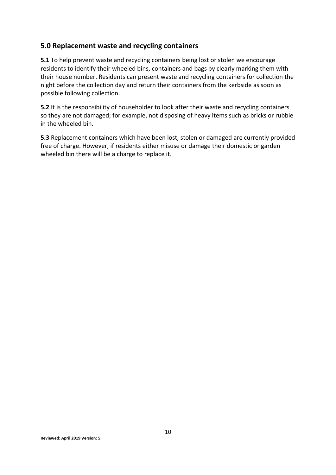# **5.0 Replacement waste and recycling containers**

**5.1** To help prevent waste and recycling containers being lost or stolen we encourage residents to identify their wheeled bins, containers and bags by clearly marking them with their house number. Residents can present waste and recycling containers for collection the night before the collection day and return their containers from the kerbside as soon as possible following collection.

**5.2** It is the responsibility of householder to look after their waste and recycling containers so they are not damaged; for example, not disposing of heavy items such as bricks or rubble in the wheeled bin.

**5.3** Replacement containers which have been lost, stolen or damaged are currently provided free of charge. However, if residents either misuse or damage their domestic or garden wheeled bin there will be a charge to replace it.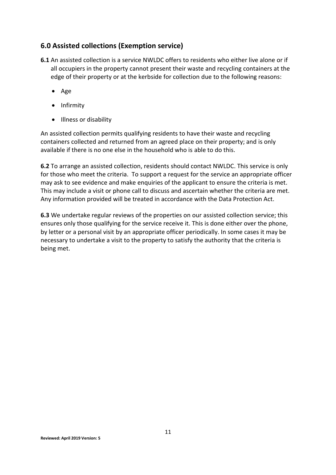# **6.0 Assisted collections (Exemption service)**

- **6.1** An assisted collection is a service NWLDC offers to residents who either live alone or if all occupiers in the property cannot present their waste and recycling containers at the edge of their property or at the kerbside for collection due to the following reasons:
	- Age
	- Infirmity
	- Illness or disability

An assisted collection permits qualifying residents to have their waste and recycling containers collected and returned from an agreed place on their property; and is only available if there is no one else in the household who is able to do this.

**6.2** To arrange an assisted collection, residents should contact NWLDC. This service is only for those who meet the criteria. To support a request for the service an appropriate officer may ask to see evidence and make enquiries of the applicant to ensure the criteria is met. This may include a visit or phone call to discuss and ascertain whether the criteria are met. Any information provided will be treated in accordance with the Data Protection Act.

**6.3** We undertake regular reviews of the properties on our assisted collection service; this ensures only those qualifying for the service receive it. This is done either over the phone, by letter or a personal visit by an appropriate officer periodically. In some cases it may be necessary to undertake a visit to the property to satisfy the authority that the criteria is being met.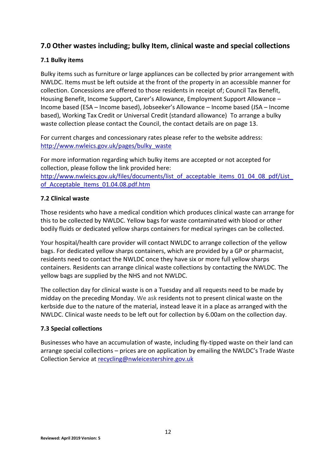# **7.0 Other wastes including; bulky Item, clinical waste and special collections**

#### **7.1 Bulky items**

Bulky items such as furniture or large appliances can be collected by prior arrangement with NWLDC. Items must be left outside at the front of the property in an accessible manner for collection. Concessions are offered to those residents in receipt of; Council Tax Benefit, Housing Benefit, Income Support, Carer's Allowance, Employment Support Allowance – Income based (ESA – Income based), Jobseeker's Allowance – Income based (JSA – Income based), Working Tax Credit or Universal Credit (standard allowance) To arrange a bulky waste collection please contact the Council, the contact details are on page 13.

For current charges and concessionary rates please refer to the website address: [http://www.nwleics.gov.uk/pages/bulky\\_waste](http://www.nwleics.gov.uk/pages/bulky_waste)

For more information regarding which bulky items are accepted or not accepted for collection, please follow the link provided here: http://www.nwleics.gov.uk/files/documents/list\_of\_acceptable\_items\_01\_04\_08\_pdf/List of Acceptable Items 01.04.08.pdf.htm

#### **7.2 Clinical waste**

Those residents who have a medical condition which produces clinical waste can arrange for this to be collected by NWLDC. Yellow bags for waste contaminated with blood or other bodily fluids or dedicated yellow sharps containers for medical syringes can be collected.

Your hospital/health care provider will contact NWLDC to arrange collection of the yellow bags. For dedicated yellow sharps containers, which are provided by a GP or pharmacist, residents need to contact the NWLDC once they have six or more full yellow sharps containers. Residents can arrange clinical waste collections by contacting the NWLDC. The yellow bags are supplied by the NHS and not NWLDC.

The collection day for clinical waste is on a Tuesday and all requests need to be made by midday on the preceding Monday. We ask residents not to present clinical waste on the kerbside due to the nature of the material, instead leave it in a place as arranged with the NWLDC. Clinical waste needs to be left out for collection by 6.00am on the collection day.

#### **7.3 Special collections**

Businesses who have an accumulation of waste, including fly-tipped waste on their land can arrange special collections – prices are on application by emailing the NWLDC's Trade Waste Collection Service at [recycling@nwleicestershire.gov.uk](mailto:recycling@nwleicestershire.gov.uk)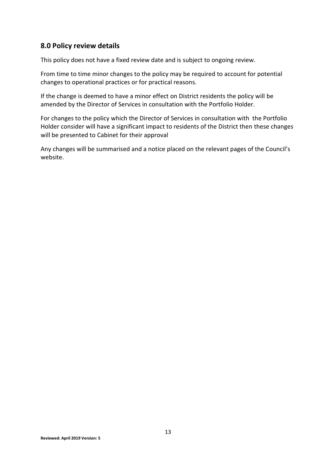### **8.0 Policy review details**

This policy does not have a fixed review date and is subject to ongoing review.

From time to time minor changes to the policy may be required to account for potential changes to operational practices or for practical reasons.

If the change is deemed to have a minor effect on District residents the policy will be amended by the Director of Services in consultation with the Portfolio Holder.

For changes to the policy which the Director of Services in consultation with the Portfolio Holder consider will have a significant impact to residents of the District then these changes will be presented to Cabinet for their approval

Any changes will be summarised and a notice placed on the relevant pages of the Council's website.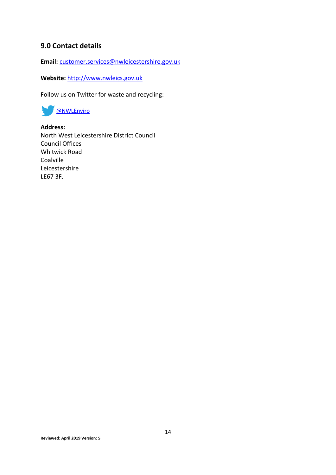## **9.0 Contact details**

**Email:** [customer.services@nwleicestershire.gov.uk](mailto:customer.services@nwleicestershire.gov.uk)

**Website:** [http://www.nwleics.gov.uk](http://www.nwleics.gov.uk/)

Follow us on Twitter for waste and recycling:



**Address:** North West Leicestershire District Council Council Offices Whitwick Road Coalville Leicestershire LE67 3FJ